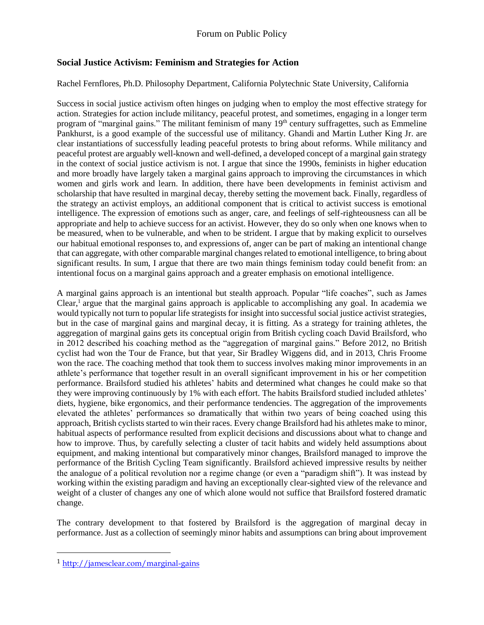## **Social Justice Activism: Feminism and Strategies for Action**

## Rachel Fernflores, Ph.D. Philosophy Department, California Polytechnic State University, California

Success in social justice activism often hinges on judging when to employ the most effective strategy for action. Strategies for action include militancy, peaceful protest, and sometimes, engaging in a longer term program of "marginal gains." The militant feminism of many 19<sup>th</sup> century suffragettes, such as Emmeline Pankhurst, is a good example of the successful use of militancy. Ghandi and Martin Luther King Jr. are clear instantiations of successfully leading peaceful protests to bring about reforms. While militancy and peaceful protest are arguably well-known and well-defined, a developed concept of a marginal gain strategy in the context of social justice activism is not. I argue that since the 1990s, feminists in higher education and more broadly have largely taken a marginal gains approach to improving the circumstances in which women and girls work and learn. In addition, there have been developments in feminist activism and scholarship that have resulted in marginal decay, thereby setting the movement back. Finally, regardless of the strategy an activist employs, an additional component that is critical to activist success is emotional intelligence. The expression of emotions such as anger, care, and feelings of self-righteousness can all be appropriate and help to achieve success for an activist. However, they do so only when one knows when to be measured, when to be vulnerable, and when to be strident. I argue that by making explicit to ourselves our habitual emotional responses to, and expressions of, anger can be part of making an intentional change that can aggregate, with other comparable marginal changes related to emotional intelligence, to bring about significant results. In sum, I argue that there are two main things feminism today could benefit from: an intentional focus on a marginal gains approach and a greater emphasis on emotional intelligence.

A marginal gains approach is an intentional but stealth approach. Popular "life coaches", such as James Clear,<sup>1</sup> argue that the marginal gains approach is applicable to accomplishing any goal. In academia we would typically not turn to popular life strategists for insight into successful social justice activist strategies, but in the case of marginal gains and marginal decay, it is fitting. As a strategy for training athletes, the aggregation of marginal gains gets its conceptual origin from British cycling coach David Brailsford, who in 2012 described his coaching method as the "aggregation of marginal gains." Before 2012, no British cyclist had won the Tour de France, but that year, Sir Bradley Wiggens did, and in 2013, Chris Froome won the race. The coaching method that took them to success involves making minor improvements in an athlete's performance that together result in an overall significant improvement in his or her competition performance. Brailsford studied his athletes' habits and determined what changes he could make so that they were improving continuously by 1% with each effort. The habits Brailsford studied included athletes' diets, hygiene, bike ergonomics, and their performance tendencies. The aggregation of the improvements elevated the athletes' performances so dramatically that within two years of being coached using this approach, British cyclists started to win their races. Every change Brailsford had his athletes make to minor, habitual aspects of performance resulted from explicit decisions and discussions about what to change and how to improve. Thus, by carefully selecting a cluster of tacit habits and widely held assumptions about equipment, and making intentional but comparatively minor changes, Brailsford managed to improve the performance of the British Cycling Team significantly. Brailsford achieved impressive results by neither the analogue of a political revolution nor a regime change (or even a "paradigm shift"). It was instead by working within the existing paradigm and having an exceptionally clear-sighted view of the relevance and weight of a cluster of changes any one of which alone would not suffice that Brailsford fostered dramatic change.

The contrary development to that fostered by Brailsford is the aggregation of marginal decay in performance. Just as a collection of seemingly minor habits and assumptions can bring about improvement

<sup>1</sup> <http://jamesclear.com/marginal-gains>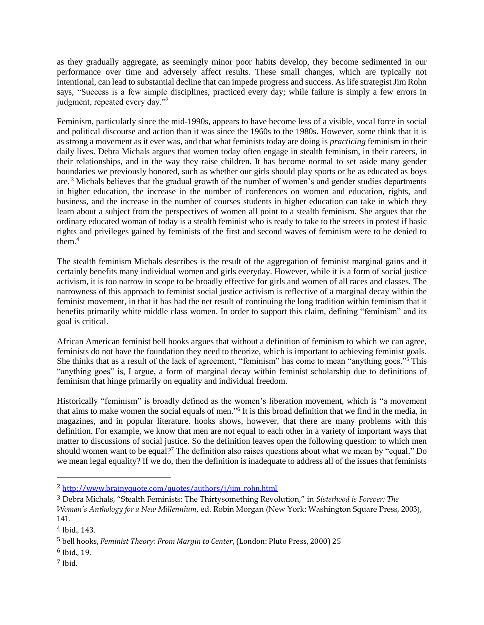as they gradually aggregate, as seemingly minor poor habits develop, they become sedimented in our performance over time and adversely affect results. These small changes, which are typically not intentional, can lead to substantial decline that can impede progress and success. As life strategist Jim Rohn says, "Success is a few simple disciplines, practiced every day; while failure is simply a few errors in judgment, repeated every day."<sup>2</sup>

Feminism, particularly since the mid-1990s, appears to have become less of a visible, vocal force in social and political discourse and action than it was since the 1960s to the 1980s. However, some think that it is as strong a movement as it ever was, and that what feminists today are doing is *practicing* feminism in their daily lives. Debra Michals argues that women today often engage in stealth feminism, in their careers, in their relationships, and in the way they raise children. It has become normal to set aside many gender boundaries we previously honored, such as whether our girls should play sports or be as educated as boys are.<sup>3</sup> Michals believes that the gradual growth of the number of women's and gender studies departments in higher education, the increase in the number of conferences on women and education, rights, and business, and the increase in the number of courses students in higher education can take in which they learn about a subject from the perspectives of women all point to a stealth feminism. She argues that the ordinary educated woman of today is a stealth feminist who is ready to take to the streets in protest if basic rights and privileges gained by feminists of the first and second waves of feminism were to be denied to them. $4$ 

The stealth feminism Michals describes is the result of the aggregation of feminist marginal gains and it certainly benefits many individual women and girls everyday. However, while it is a form of social justice activism, it is too narrow in scope to be broadly effective for girls and women of all races and classes. The narrowness of this approach to feminist social justice activism is reflective of a marginal decay within the feminist movement, in that it has had the net result of continuing the long tradition within feminism that it benefits primarily white middle class women. In order to support this claim, defining "feminism" and its goal is critical.

African American feminist bell hooks argues that without a definition of feminism to which we can agree, feminists do not have the foundation they need to theorize, which is important to achieving feminist goals. She thinks that as a result of the lack of agreement, "feminism" has come to mean "anything goes."<sup>5</sup> This "anything goes" is, I argue, a form of marginal decay within feminist scholarship due to definitions of feminism that hinge primarily on equality and individual freedom.

Historically "feminism" is broadly defined as the women's liberation movement, which is "a movement that aims to make women the social equals of men."<sup>6</sup> It is this broad definition that we find in the media, in magazines, and in popular literature. hooks shows, however, that there are many problems with this definition. For example, we know that men are not equal to each other in a variety of important ways that matter to discussions of social justice. So the definition leaves open the following question: to which men should women want to be equal?<sup>7</sup> The definition also raises questions about what we mean by "equal." Do we mean legal equality? If we do, then the definition is inadequate to address all of the issues that feminists

<sup>2</sup> [http://www.brainyquote.com/quotes/authors/j/jim\\_rohn.html](http://www.brainyquote.com/quotes/authors/j/jim_rohn.html)

<sup>3</sup> Debra Michals, "Stealth Feminists: The Thirtysomething Revolution," in *Sisterhood is Forever: The Woman's Anthology for a New Millennium*, ed. Robin Morgan (New York: Washington Square Press, 2003), 141.

<sup>4</sup> Ibid., 143.

<sup>5</sup> bell hooks, *Feminist Theory: From Margin to Center*, (London: Pluto Press, 2000) 25

<sup>6</sup> Ibid., 19.

<sup>7</sup> Ibid.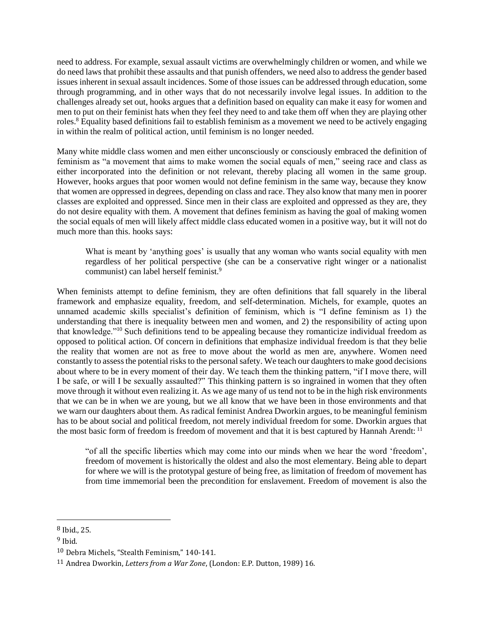need to address. For example, sexual assault victims are overwhelmingly children or women, and while we do need laws that prohibit these assaults and that punish offenders, we need also to address the gender based issues inherent in sexual assault incidences. Some of those issues can be addressed through education, some through programming, and in other ways that do not necessarily involve legal issues. In addition to the challenges already set out, hooks argues that a definition based on equality can make it easy for women and men to put on their feminist hats when they feel they need to and take them off when they are playing other roles.<sup>8</sup> Equality based definitions fail to establish feminism as a movement we need to be actively engaging in within the realm of political action, until feminism is no longer needed.

Many white middle class women and men either unconsciously or consciously embraced the definition of feminism as "a movement that aims to make women the social equals of men," seeing race and class as either incorporated into the definition or not relevant, thereby placing all women in the same group. However, hooks argues that poor women would not define feminism in the same way, because they know that women are oppressed in degrees, depending on class and race. They also know that many men in poorer classes are exploited and oppressed. Since men in their class are exploited and oppressed as they are, they do not desire equality with them. A movement that defines feminism as having the goal of making women the social equals of men will likely affect middle class educated women in a positive way, but it will not do much more than this. hooks says:

What is meant by 'anything goes' is usually that any woman who wants social equality with men regardless of her political perspective (she can be a conservative right winger or a nationalist communist) can label herself feminist.<sup>9</sup>

When feminists attempt to define feminism, they are often definitions that fall squarely in the liberal framework and emphasize equality, freedom, and self-determination. Michels, for example, quotes an unnamed academic skills specialist's definition of feminism, which is "I define feminism as 1) the understanding that there is inequality between men and women, and 2) the responsibility of acting upon that knowledge."<sup>10</sup> Such definitions tend to be appealing because they romanticize individual freedom as opposed to political action. Of concern in definitions that emphasize individual freedom is that they belie the reality that women are not as free to move about the world as men are, anywhere. Women need constantly to assess the potential risks to the personal safety. We teach our daughters to make good decisions about where to be in every moment of their day. We teach them the thinking pattern, "if I move there, will I be safe, or will I be sexually assaulted?" This thinking pattern is so ingrained in women that they often move through it without even realizing it. As we age many of us tend not to be in the high risk environments that we can be in when we are young, but we all know that we have been in those environments and that we warn our daughters about them. As radical feminist Andrea Dworkin argues, to be meaningful feminism has to be about social and political freedom, not merely individual freedom for some. Dworkin argues that the most basic form of freedom is freedom of movement and that it is best captured by Hannah Arendt: <sup>11</sup>

"of all the specific liberties which may come into our minds when we hear the word 'freedom', freedom of movement is historically the oldest and also the most elementary. Being able to depart for where we will is the prototypal gesture of being free, as limitation of freedom of movement has from time immemorial been the precondition for enslavement. Freedom of movement is also the

<sup>8</sup> Ibid., 25.

 $9$  Ibid.

<sup>10</sup> Debra Michels, "Stealth Feminism," 140-141.

<sup>11</sup> Andrea Dworkin, *Letters from a War Zone*, (London: E.P. Dutton, 1989) 16.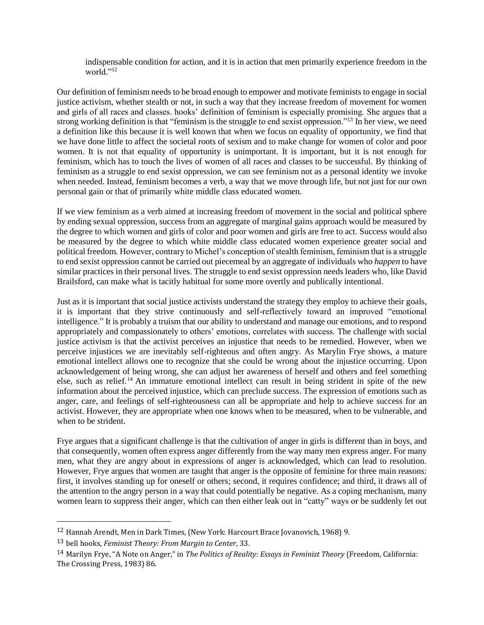indispensable condition for action, and it is in action that men primarily experience freedom in the world." $^{12}$ 

Our definition of feminism needs to be broad enough to empower and motivate feminists to engage in social justice activism, whether stealth or not, in such a way that they increase freedom of movement for women and girls of all races and classes. hooks' definition of feminism is especially promising. She argues that a strong working definition is that "feminism is the struggle to end sexist oppression."<sup>13</sup> In her view, we need a definition like this because it is well known that when we focus on equality of opportunity, we find that we have done little to affect the societal roots of sexism and to make change for women of color and poor women. It is not that equality of opportunity is unimportant. It is important, but it is not enough for feminism, which has to touch the lives of women of all races and classes to be successful. By thinking of feminism as a struggle to end sexist oppression, we can see feminism not as a personal identity we invoke when needed. Instead, feminism becomes a verb, a way that we move through life, but not just for our own personal gain or that of primarily white middle class educated women.

If we view feminism as a verb aimed at increasing freedom of movement in the social and political sphere by ending sexual oppression, success from an aggregate of marginal gains approach would be measured by the degree to which women and girls of color and poor women and girls are free to act. Success would also be measured by the degree to which white middle class educated women experience greater social and political freedom. However, contrary to Michel's conception of stealth feminism, feminism that is a struggle to end sexist oppression cannot be carried out piecemeal by an aggregate of individuals who *happen* to have similar practices in their personal lives. The struggle to end sexist oppression needs leaders who, like David Brailsford, can make what is tacitly habitual for some more overtly and publically intentional.

Just as it is important that social justice activists understand the strategy they employ to achieve their goals, it is important that they strive continuously and self-reflectively toward an improved "emotional intelligence." It is probably a truism that our ability to understand and manage our emotions, and to respond appropriately and compassionately to others' emotions, correlates with success. The challenge with social justice activism is that the activist perceives an injustice that needs to be remedied. However, when we perceive injustices we are inevitably self-righteous and often angry. As Marylin Frye shows, a mature emotional intellect allows one to recognize that she could be wrong about the injustice occurring. Upon acknowledgement of being wrong, she can adjust her awareness of herself and others and feel something else, such as relief.<sup>14</sup> An immature emotional intellect can result in being strident in spite of the new information about the perceived injustice, which can preclude success. The expression of emotions such as anger, care, and feelings of self-righteousness can all be appropriate and help to achieve success for an activist. However, they are appropriate when one knows when to be measured, when to be vulnerable, and when to be strident.

Frye argues that a significant challenge is that the cultivation of anger in girls is different than in boys, and that consequently, women often express anger differently from the way many men express anger. For many men, what they are angry about in expressions of anger is acknowledged, which can lead to resolution. However, Frye argues that women are taught that anger is the opposite of feminine for three main reasons: first, it involves standing up for oneself or others; second, it requires confidence; and third, it draws all of the attention to the angry person in a way that could potentially be negative. As a coping mechanism, many women learn to suppress their anger, which can then either leak out in "catty" ways or be suddenly let out

<sup>12</sup> Hannah Arendt, Men in Dark Times, (New York: Harcourt Brace Jovanovich, 1968) 9.

<sup>13</sup> bell hooks, *Feminist Theory: From Margin to Center*, 33.

<sup>14</sup> Marilyn Frye, "A Note on Anger," in *The Politics of Reality: Essays in Feminist Theory* (Freedom, California: The Crossing Press, 1983) 86.